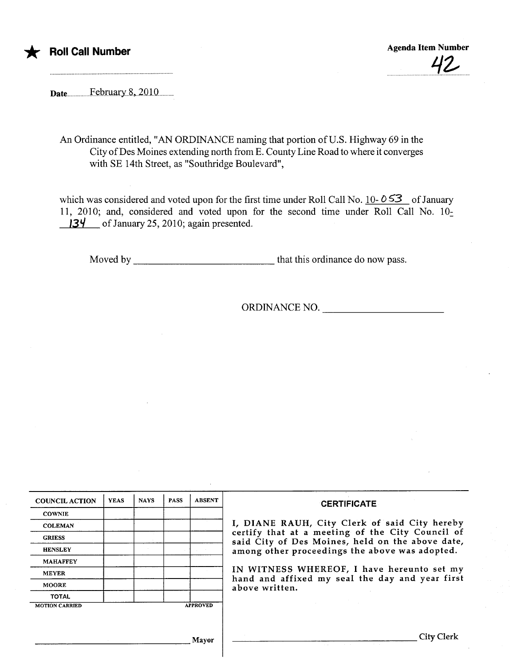

\* Roll Call Number Agenda Item Number Agenda Item Number Agenda Item Number .............................'i~....

Date..................F~brnar...8....010...........

An Ordinance entitled, "AN ORDINANCE naming that portion of U.S. Highway 69 in the City of Des Moines extending north from E. County Line Road to where it converges with SE 14th Street, as "Southridge Boulevard",

which was considered and voted upon for the first time under Roll Call No. 10-053 of January 11, 2010; and, considered and voted upon for the second time under Roll Call No. 10- $13\frac{1}{1}$  of January 25, 2010; again presented.

Moved by  $\frac{1}{\sqrt{1-\frac{1}{\sqrt{1-\frac{1}{\sqrt{1-\frac{1}{\sqrt{1-\frac{1}{\sqrt{1-\frac{1}{\sqrt{1-\frac{1}{\sqrt{1-\frac{1}{\sqrt{1-\frac{1}{\sqrt{1-\frac{1}{\sqrt{1-\frac{1}{\sqrt{1-\frac{1}{\sqrt{1-\frac{1}{\sqrt{1-\frac{1}{\sqrt{1-\frac{1}{\sqrt{1-\frac{1}{\sqrt{1-\frac{1}{\sqrt{1-\frac{1}{\sqrt{1-\frac{1}{\sqrt{1-\frac{1}{\sqrt{1-\frac{1}{\sqrt{1-\frac{1}{\sqrt{1-\frac{1}{\sqrt{1-\frac{1}{$ 

ORDINANCE NO.

| <b>COUNCIL ACTION</b> | <b>YEAS</b> | <b>NAYS</b> | <b>PASS</b> | <b>ABSENT</b>   | <b>CERTIFICATE</b>                                                                                                                                                                                                                                                                                                         |  |  |  |
|-----------------------|-------------|-------------|-------------|-----------------|----------------------------------------------------------------------------------------------------------------------------------------------------------------------------------------------------------------------------------------------------------------------------------------------------------------------------|--|--|--|
| <b>COWNIE</b>         |             |             |             |                 |                                                                                                                                                                                                                                                                                                                            |  |  |  |
| <b>COLEMAN</b>        |             |             |             |                 | I, DIANE RAUH, City Clerk of said City hereby<br>certify that at a meeting of the City Council of<br>said City of Des Moines, held on the above date,<br>among other proceedings the above was adopted.<br>IN WITNESS WHEREOF, I have hereunto set my<br>hand and affixed my seal the day and year first<br>above written. |  |  |  |
| <b>GRIESS</b>         |             |             |             |                 |                                                                                                                                                                                                                                                                                                                            |  |  |  |
| <b>HENSLEY</b>        |             |             |             |                 |                                                                                                                                                                                                                                                                                                                            |  |  |  |
| <b>MAHAFFEY</b>       |             |             |             |                 |                                                                                                                                                                                                                                                                                                                            |  |  |  |
| <b>MEYER</b>          |             |             |             |                 |                                                                                                                                                                                                                                                                                                                            |  |  |  |
| <b>MOORE</b>          |             |             |             |                 |                                                                                                                                                                                                                                                                                                                            |  |  |  |
| <b>TOTAL</b>          |             |             |             |                 |                                                                                                                                                                                                                                                                                                                            |  |  |  |
| <b>MOTION CARRIED</b> |             |             |             | <b>APPROVED</b> |                                                                                                                                                                                                                                                                                                                            |  |  |  |
|                       |             |             |             |                 |                                                                                                                                                                                                                                                                                                                            |  |  |  |
|                       |             |             |             | Mayor           | City Clerk                                                                                                                                                                                                                                                                                                                 |  |  |  |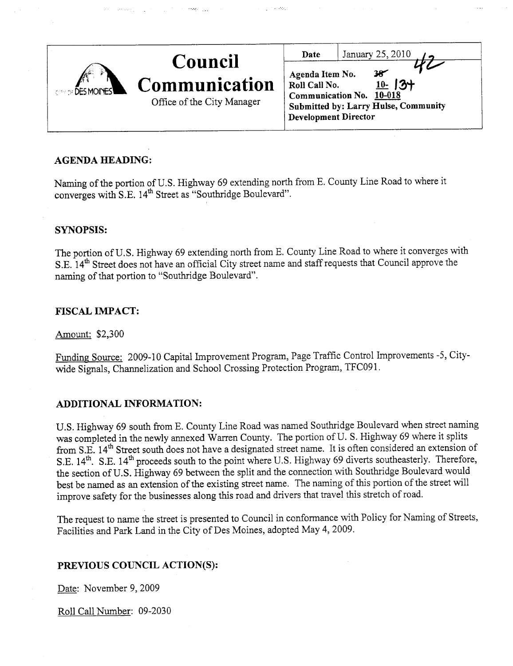|                        |                                                               | Date                                                            | January 25, 2010                                                                                |
|------------------------|---------------------------------------------------------------|-----------------------------------------------------------------|-------------------------------------------------------------------------------------------------|
| <b>CONDIDES MOINES</b> | Council<br><b>Communication</b><br>Office of the City Manager | Agenda Item No.<br>Roll Call No.<br><b>Development Director</b> | $38^{\circ}$<br>$10 - 13 +$<br>Communication No. 10-018<br>Submitted by: Larry Hulse, Community |

المعارب

# AGENDA HEADING:

Naming of the portion of U.S. Highway 69 extending north from E. County Line Road to where it converges with S.E. 14<sup>th</sup> Street as "Southridge Boulevard".

## SYNOPSIS:

The portion of U.S. Highway 69 extending north from E. County Line Road to where it converges with S.E. 14<sup>th</sup> Street does not have an official City street name and staff requests that Council approve the naming of that portion to "Southridge Boulevard".

## FISCAL IMPACT:

Amount: \$2,300

Funding Source: 2009-10 Capital Improvement Program, Page Traffic Control Improvements -5, Citywide Signals, Chanelization and School Crossing Protection Program, TFC091.

# ADDITIONAL INFORMATION:

U.S. Highway 69 south from E. County Line Road was named Southridge Boulevard when street naming was completed in the newly annexed Warren County. The portion of U.S. Highway 69 where it splits from S.E. 14<sup>th</sup> Street south does not have a designated street name. It is often considered an extension of S.E. 14<sup>th</sup>. S.E. 14<sup>th</sup> proceeds south to the point where U.S. Highway 69 diverts southeasterly. Therefore, the section of U.S. Highway 69 between the split and the connection with Southridge Boulevard would best be named as an extension of the existing street name. The naming of this portion of the street will improve safety for the businesses along this road and drivers that travel this stretch of road.

The request to name the street is presented to Council in conformance with Policy for Naming of Streets, Facilities and Park Land in the City of Des Moines, adopted May 4, 2009.

# PREVIOUS COUNCIL ACTION(S):

Date: November 9, 2009

Roll Call Number: 09-2030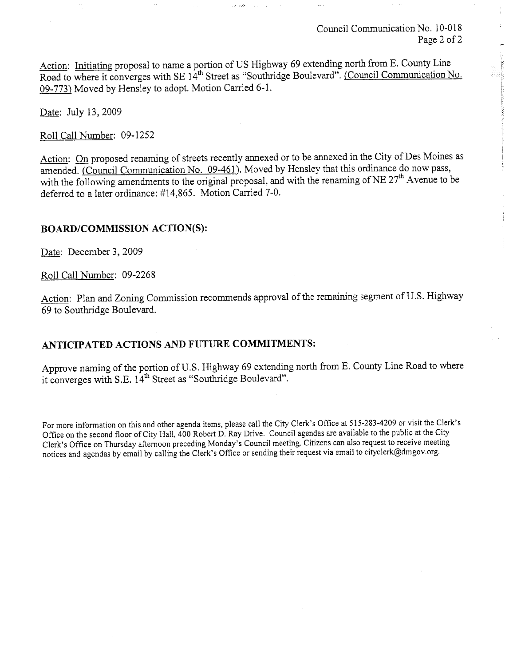Council Communcation No. 10-018 Page 2 of 2

Action: Initiating proposal to name a portion of US Highway 69 extending north from E. County Line Road to where it converges with SE 14<sup>th</sup> Street as "Southridge Boulevard". (Council Communication No. 09-773) Moved by Hensley to adopt. Motion Carried 6-1.

Date: July 13,2009

Roll Call Number: 09-1252

Action: On proposed renaming of streets recently annexed or to be annexed in the City of Des Moines as amended. (Council Communication No. 09-461). Moved by Hensley that this ordinance do now pass, with the following amendments to the original proposal, and with the renaming of NE 27<sup>th</sup> Avenue to be deferred to a later ordinance: #14,865. Motion Carried 7-0.

#### BOARD/COMMISSION ACTION(S):

Date: December 3, 2009

Roll Call Number: 09-2268

Action: Plan and Zoning Commission recommends approval of the remaining segment of U.S. Highway 69 to Southrdge Boulevard.

#### ANTICIPATED ACTIONS AND FUTURE COMMITMENTS:

Approve naming of the portion of U.S. Highway 69 extending north from E. County Line Road to where it converges with S.E.  $14<sup>th</sup>$  Street as "Southridge Boulevard".

For more information on this and other agenda items, please call the City Clerk's Office at 515-283-4209 or visit the Clerk's Office on the second floor of City Hall, 400 Robert D. Ray Drive. Council agendas are available to the public at the City Clerk's Office on Thursday afternoon preceding Monday's Council meeting. Citizens can also request to receive meeting notices and agendas by email by calling the Clerk's Office or sending their request via email to cityclerk@dmgov.org.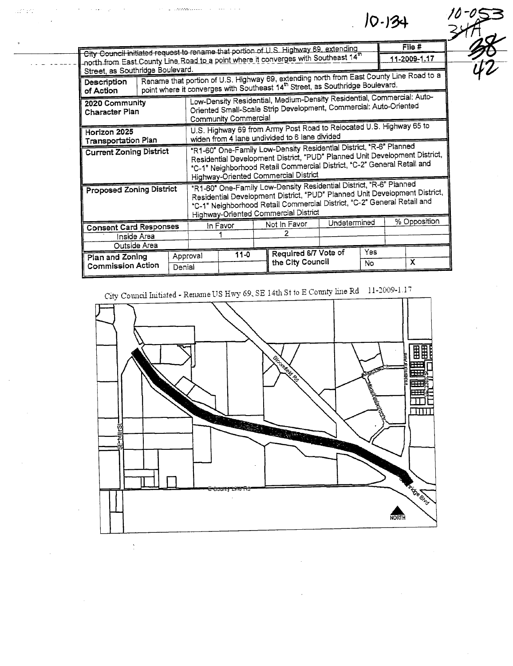City Council initiated request to rename that portion of U.S. Highway 69, extending  $File#$ north from East County Line Road to a point where it converges with Southeast 14" 11-2009-1.17 Street, as Southridge Boulevard. Rename that portion of U.S. Highway 69, extending north from East County Line Road to a Description point where it converges with Southeast 14<sup>th</sup> Street, as Southridge Boulevard. of Action Low-Density Residential, Medium-Density Residential, Commercial: Auto-2020 Community Oriented Small-Scale Strip Development, Commercial: Auto-Oriented Character Plan Community Commercial U.S. Highway 69 from Army Post Road to Relocated U.S. Highway 65 to Horizon 2025 widen from 4 lane undivided to 6 lane divided Transportation Plan "R1-60" One-Family Low-Density Residential District, "R-6" Planned **Current Zoning District** Residential Development District, "PUD" Planned Unit Development District, "C-1" Neighborhood Retail Commercial District, "C-2" General Retail and Highway-Oriented Commercial District "R1-60" One-Family Low-Density Residential District, "R-6" Planned **Proposed Zoning District** Residential Development District, "PUD" Planned Unit Development District, "C-1" Neighborhood Retail Commercial District, "C-2" General Retail and Highway-Oriented Commercial District % Opposition Undetermined Not in Favor In Favor **Consent Card Responses**  $\overline{2}$ ٦. Inside Area Outside Area Yes Required 6/7 Vote of  $11 - 0$ Approval Plan and Zoning the City Council  $\overline{\textsf{x}}$  $\overline{N}$ **Commission Action** Denial

 $10 - 134$ 

an Br

City Council Initiated - Rename US Hwy 69, SE 14th St to E County line Rd 11-2009-1.17

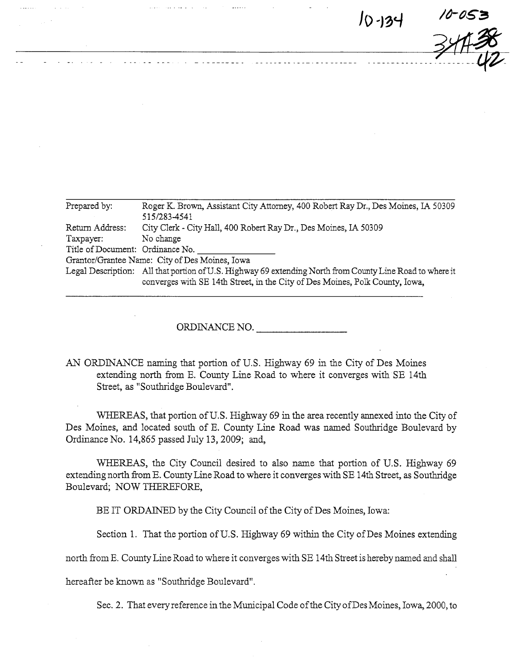$10 - 134$   $10-053$  $-34H^{20}$ 

| Prepared by:                     | Roger K. Brown, Assistant City Attorney, 400 Robert Ray Dr., Des Moines, IA 50309                                                                                                        |  |  |  |  |  |
|----------------------------------|------------------------------------------------------------------------------------------------------------------------------------------------------------------------------------------|--|--|--|--|--|
|                                  | 515/283-4541                                                                                                                                                                             |  |  |  |  |  |
| Return Address:                  | City Clerk - City Hall, 400 Robert Ray Dr., Des Moines, IA 50309                                                                                                                         |  |  |  |  |  |
| Taxpayer:                        | No change                                                                                                                                                                                |  |  |  |  |  |
| Title of Document: Ordinance No. |                                                                                                                                                                                          |  |  |  |  |  |
|                                  | Grantor/Grantee Name: City of Des Moines, Iowa                                                                                                                                           |  |  |  |  |  |
|                                  | Legal Description: All that portion of U.S. Highway 69 extending North from County Line Road to where it<br>converges with SE 14th Street, in the City of Des Moines, Polk County, Iowa, |  |  |  |  |  |

ORDINANCE NO.

AN ORDINANCE naming that portion of U.S. Highway 69 in the City of Des Moines extending north from E. County Line Road to where it converges with BE 14th Street, as "Southridge Boulevard".

WHEREAS, that portion of U.S. Highway 69 in the area recently annexed into the City of Des Moines, and located south of E. County Line Road was named Southridge Boulevard by Ordinance No. 14,865 passed July 13, 2009; and,

WHEREAS, the City Council desired to also name that portion of U.S. Highway 69 extending north from E. County Line Road to where it converges with SE 14th Street, as Southridge Boulevard; NOW THREFORE,

BE IT ORDAINED by the City Council of the City of Des Moines, Iowa:

Section 1. That the portion of U.S. Highway 69 within the City of Des Moines extending

north from E. County Line Road to where it converges with SE 14th Street is hereby named and shall

hereafter be known as "Southridge Boulevard".

Sec. 2. That every reference in the Municipal Code of the City of Des Moines, Iowa, 2000, to